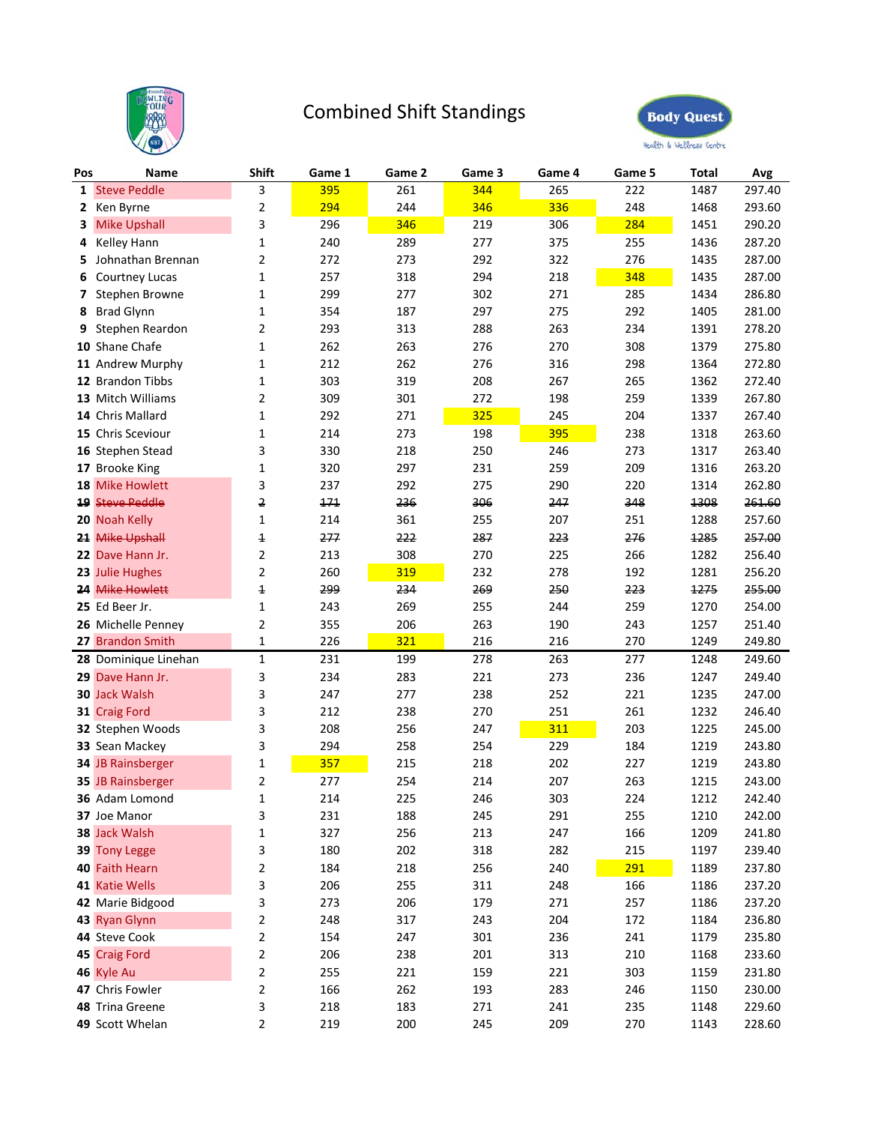

## Combined Shift Standings



| Pos          | Name                   | Shift                   | Game 1 | Game 2 | Game 3 | Game 4 | Game 5 | Total | Avg    |
|--------------|------------------------|-------------------------|--------|--------|--------|--------|--------|-------|--------|
| $\mathbf{1}$ | <b>Steve Peddle</b>    | 3                       | 395    | 261    | 344    | 265    | 222    | 1487  | 297.40 |
| 2            | Ken Byrne              | 2                       | 294    | 244    | 346    | 336    | 248    | 1468  | 293.60 |
| 3            | <b>Mike Upshall</b>    | 3                       | 296    | 346    | 219    | 306    | 284    | 1451  | 290.20 |
| 4            | Kelley Hann            | 1                       | 240    | 289    | 277    | 375    | 255    | 1436  | 287.20 |
| 5            | Johnathan Brennan      | $\overline{2}$          | 272    | 273    | 292    | 322    | 276    | 1435  | 287.00 |
| 6            | Courtney Lucas         | 1                       | 257    | 318    | 294    | 218    | 348    | 1435  | 287.00 |
| 7            | Stephen Browne         | 1                       | 299    | 277    | 302    | 271    | 285    | 1434  | 286.80 |
| 8            | <b>Brad Glynn</b>      | 1                       | 354    | 187    | 297    | 275    | 292    | 1405  | 281.00 |
| 9            | Stephen Reardon        | 2                       | 293    | 313    | 288    | 263    | 234    | 1391  | 278.20 |
| 10           | Shane Chafe            | 1                       | 262    | 263    | 276    | 270    | 308    | 1379  | 275.80 |
|              | 11 Andrew Murphy       | 1                       | 212    | 262    | 276    | 316    | 298    | 1364  | 272.80 |
|              | 12 Brandon Tibbs       | 1                       | 303    | 319    | 208    | 267    | 265    | 1362  | 272.40 |
|              | 13 Mitch Williams      | 2                       | 309    | 301    | 272    | 198    | 259    | 1339  | 267.80 |
|              | 14 Chris Mallard       | 1                       | 292    | 271    | 325    | 245    | 204    | 1337  | 267.40 |
|              | 15 Chris Sceviour      | $\mathbf{1}$            | 214    | 273    | 198    | 395    | 238    | 1318  | 263.60 |
|              | 16 Stephen Stead       | 3                       | 330    | 218    | 250    | 246    | 273    | 1317  | 263.40 |
|              | 17 Brooke King         | 1                       | 320    | 297    | 231    | 259    | 209    | 1316  | 263.20 |
| 18           | <b>Mike Howlett</b>    | 3                       | 237    | 292    | 275    | 290    | 220    | 1314  | 262.80 |
|              | <b>19 Steve Peddle</b> | 2                       | 171    | 236    | 306    | 247    | 348    | 1308  | 261.60 |
|              | 20 Noah Kelly          | 1                       | 214    | 361    | 255    | 207    | 251    | 1288  | 257.60 |
| 21           | <b>Mike Upshall</b>    | 1                       | 277    | 222    | 287    | 223    | 276    | 1285  | 257.00 |
|              | 22 Dave Hann Jr.       | 2                       | 213    | 308    | 270    | 225    | 266    | 1282  | 256.40 |
|              | 23 Julie Hughes        | $\overline{2}$          | 260    | 319    | 232    | 278    | 192    | 1281  | 256.20 |
|              | 24 Mike Howlett        | $\overline{\mathbf{1}}$ | 299    | 234    | 269    | 250    | 223    | 1275  | 255.00 |
|              | 25 Ed Beer Jr.         | 1                       | 243    | 269    | 255    | 244    | 259    | 1270  | 254.00 |
|              | 26 Michelle Penney     | 2                       | 355    | 206    | 263    | 190    | 243    | 1257  | 251.40 |
|              | 27 Brandon Smith       | $\mathbf 1$             | 226    | 321    | 216    | 216    | 270    | 1249  | 249.80 |
|              | 28 Dominique Linehan   | $\mathbf{1}$            | 231    | 199    | 278    | 263    | 277    | 1248  | 249.60 |
| 29           | Dave Hann Jr.          | 3                       | 234    | 283    | 221    | 273    | 236    | 1247  | 249.40 |
|              | <b>30 Jack Walsh</b>   | 3                       | 247    | 277    | 238    | 252    | 221    | 1235  | 247.00 |
|              | 31 Craig Ford          | 3                       | 212    | 238    | 270    | 251    | 261    | 1232  | 246.40 |
|              | 32 Stephen Woods       | 3                       | 208    | 256    | 247    | 311    | 203    | 1225  | 245.00 |
|              | 33 Sean Mackey         | 3                       | 294    | 258    | 254    | 229    | 184    | 1219  | 243.80 |
|              | 34 JB Rainsberger      | $\mathbf 1$             | 357    | 215    | 218    | 202    | 227    | 1219  | 243.80 |
|              | 35 JB Rainsberger      | 2                       | 277    | 254    | 214    | 207    | 263    | 1215  | 243.00 |
|              | 36 Adam Lomond         | $\mathbf 1$             | 214    | 225    | 246    | 303    | 224    | 1212  | 242.40 |
|              | 37 Joe Manor           | 3                       | 231    | 188    | 245    | 291    | 255    | 1210  | 242.00 |
|              | 38 Jack Walsh          | $\mathbf 1$             | 327    | 256    | 213    | 247    | 166    | 1209  | 241.80 |
|              | 39 Tony Legge          | 3                       | 180    | 202    | 318    | 282    | 215    | 1197  | 239.40 |
|              | 40 Faith Hearn         | $\overline{\mathbf{c}}$ | 184    | 218    | 256    | 240    | 291    | 1189  | 237.80 |
|              | 41 Katie Wells         | 3                       | 206    | 255    | 311    | 248    | 166    | 1186  | 237.20 |
|              | 42 Marie Bidgood       | 3                       | 273    | 206    | 179    | 271    | 257    | 1186  | 237.20 |
|              | 43 Ryan Glynn          | $\overline{\mathbf{c}}$ | 248    | 317    | 243    | 204    | 172    | 1184  | 236.80 |
|              | 44 Steve Cook          | $\overline{2}$          | 154    | 247    | 301    | 236    | 241    | 1179  | 235.80 |
|              | 45 Craig Ford          | $\overline{\mathbf{c}}$ | 206    | 238    | 201    | 313    | 210    | 1168  | 233.60 |
|              | 46 Kyle Au             | $\overline{2}$          | 255    | 221    | 159    | 221    | 303    | 1159  | 231.80 |
|              | 47 Chris Fowler        | $\overline{\mathbf{c}}$ | 166    | 262    | 193    | 283    | 246    | 1150  | 230.00 |
|              | 48 Trina Greene        | 3                       | 218    | 183    | 271    | 241    | 235    | 1148  | 229.60 |
|              | 49 Scott Whelan        | 2                       | 219    | 200    | 245    | 209    | 270    | 1143  | 228.60 |